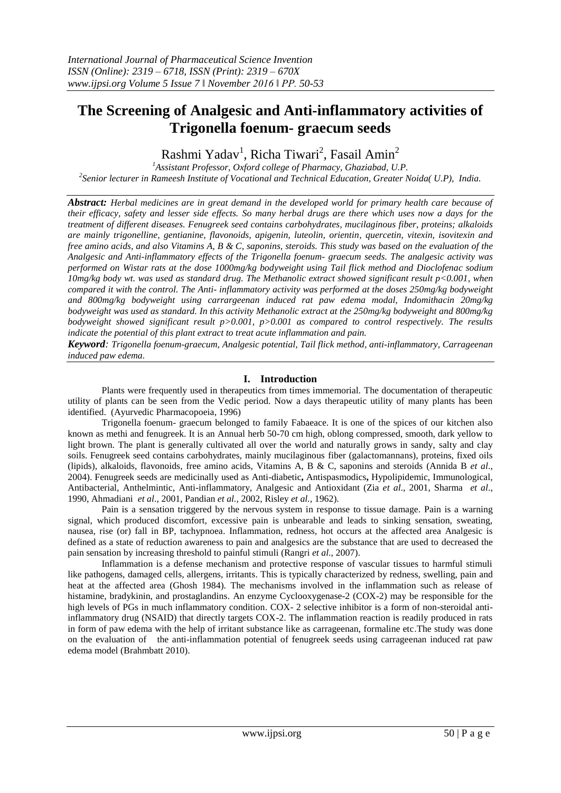# **The Screening of Analgesic and Anti-inflammatory activities of Trigonella foenum- graecum seeds**

Rashmi Yadav<sup>1</sup>, Richa Tiwari<sup>2</sup>, Fasail Amin<sup>2</sup>

*<sup>1</sup>Assistant Professor, Oxford college of Pharmacy, Ghaziabad, U.P. 2 Senior lecturer in Rameesh Institute of Vocational and Technical Education, Greater Noida( U.P), India.*

*Abstract: Herbal medicines are in great demand in the developed world for primary health care because of their efficacy, safety and lesser side effects. So many herbal drugs are there which uses now a days for the treatment of different diseases. Fenugreek seed contains carbohydrates, mucilaginous fiber, proteins; alkaloids are mainly trigonelline, gentianine, flavonoids, apigenin, luteolin, orientin, quercetin, vitexin, isovitexin and free amino acids, and also Vitamins A, B & C, saponins, steroids. This study was based on the evaluation of the Analgesic and Anti-inflammatory effects of the Trigonella foenum- graecum seeds. The analgesic activity was performed on Wistar rats at the dose 1000mg/kg bodyweight using Tail flick method and Dioclofenac sodium 10mg/kg body wt. was used as standard drug. The Methanolic extract showed significant result p<0.001, when compared it with the control. The Anti- inflammatory activity was performed at the doses 250mg/kg bodyweight and 800mg/kg bodyweight using carrargeenan induced rat paw edema modal, Indomithacin 20mg/kg bodyweight was used as standard. In this activity Methanolic extract at the 250mg/kg bodyweight and 800mg/kg bodyweight showed significant result p>0.001, p>0.001 as compared to control respectively. The results indicate the potential of this plant extract to treat acute inflammation and pain.*

*Keyword: Trigonella foenum-graecum, Analgesic potential, Tail flick method, anti-inflammatory, Carrageenan induced paw edema.*

## **I. Introduction**

Plants were frequently used in therapeutics from times immemorial. The documentation of therapeutic utility of plants can be seen from the Vedic period. Now a days therapeutic utility of many plants has been identified. (Ayurvedic Pharmacopoeia, 1996)

Trigonella foenum- graecum belonged to family Fabaeace. It is one of the spices of our kitchen also known as methi and fenugreek. It is an Annual herb 50-70 cm high, oblong compressed, smooth, dark yellow to light brown. The plant is generally cultivated all over the world and naturally grows in sandy, salty and clay soils. Fenugreek seed contains carbohydrates, mainly mucilaginous fiber (galactomannans), proteins, fixed oils (lipids), alkaloids, flavonoids, free amino acids, Vitamins A, B & C, saponins and steroids (Annida B *et al*., 2004). Fenugreek seeds are medicinally used as Anti-diabetic**,** Antispasmodics**,** Hypolipidemic, Immunological, Antibacterial, Anthelmintic, Anti-inflammatory, Analgesic and Antioxidant (Zia *et al*., 2001, Sharma *et al*., 1990, Ahmadiani *et al*., 2001, Pandian *et al.,* 2002, Risley *et al.,* 1962).

Pain is a sensation triggered by the nervous system in response to tissue damage. Pain is a warning signal, which produced discomfort, excessive pain is unbearable and leads to sinking sensation, sweating, nausea, rise (or) fall in BP, tachypnoea. Inflammation, redness, hot occurs at the affected area Analgesic is defined as a state of reduction awareness to pain and analgesics are the substance that are used to decreased the pain sensation by increasing threshold to painful stimuli (Rangri *et al*., 2007).

Inflammation is a defense mechanism and protective response of vascular tissues to harmful stimuli like pathogens, damaged cells, allergens, irritants. This is typically characterized by redness, swelling, pain and heat at the affected area (Ghosh 1984). The mechanisms involved in the inflammation such as release of histamine, bradykinin, and prostaglandins. An enzyme Cyclooxygenase-2 (COX-2) may be responsible for the high levels of PGs in much inflammatory condition. COX- 2 selective inhibitor is a form of non-steroidal antiinflammatory drug (NSAID) that directly targets COX-2. The inflammation reaction is readily produced in rats in form of paw edema with the help of irritant substance like as carrageenan, formaline etc.The study was done on the evaluation of the anti-inflammation potential of fenugreek seeds using carrageenan induced rat paw edema model (Brahmbatt 2010).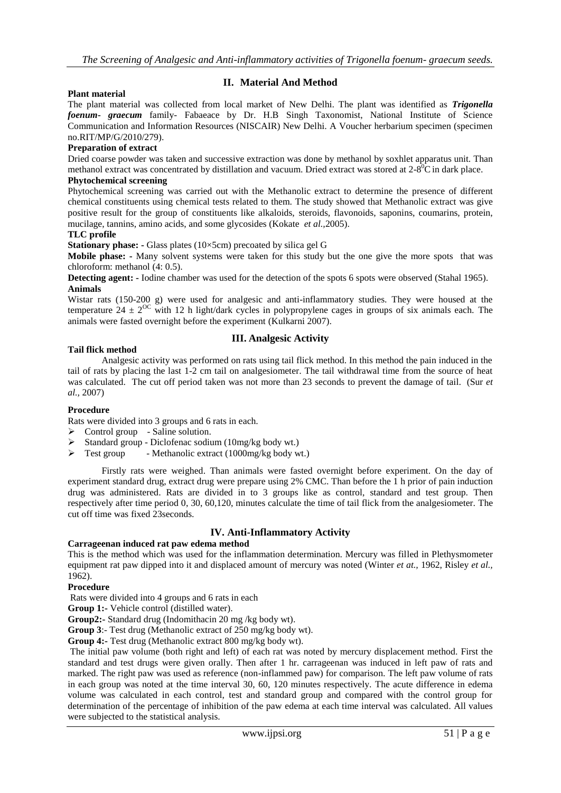# **II. Material And Method**

## **Plant material**

The plant material was collected from local market of New Delhi. The plant was identified as *Trigonella foenum- graecum* family- Fabaeace by Dr. H.B Singh Taxonomist, National Institute of Science Communication and Information Resources (NISCAIR) New Delhi. A Voucher herbarium specimen (specimen no.RIT/MP/G/2010/279).

#### **Preparation of extract**

Dried coarse powder was taken and successive extraction was done by methanol by soxhlet apparatus unit. Than methanol extract was concentrated by distillation and vacuum. Dried extract was stored at  $2\text{-}8^0\text{C}$  in dark place.

# **Phytochemical screening**

Phytochemical screening was carried out with the Methanolic extract to determine the presence of different chemical constituents using chemical tests related to them. The study showed that Methanolic extract was give positive result for the group of constituents like alkaloids, steroids, flavonoids, saponins, coumarins, protein, mucilage, tannins, amino acids, and some glycosides (Kokate *et al.,*2005).

#### **TLC profile**

**Stationary phase: -** Glass plates (10×5cm) precoated by silica gel G

**Mobile phase: -** Many solvent systems were taken for this study but the one give the more spots that was chloroform: methanol (4: 0.5).

**Detecting agent: -** Iodine chamber was used for the detection of the spots 6 spots were observed (Stahal 1965). **Animals** 

Wistar rats (150-200 g) were used for analgesic and anti-inflammatory studies. They were housed at the temperature  $24 \pm 2^{O}$  with 12 h light/dark cycles in polypropylene cages in groups of six animals each. The animals were fasted overnight before the experiment (Kulkarni 2007).

#### **Tail flick method**

## **III. Analgesic Activity**

Analgesic activity was performed on rats using tail flick method. In this method the pain induced in the tail of rats by placing the last 1-2 cm tail on analgesiometer. The tail withdrawal time from the source of heat was calculated. The cut off period taken was not more than 23 seconds to prevent the damage of tail. (Sur *et al.,* 2007)

#### **Procedure**

Rats were divided into 3 groups and 6 rats in each.

- $\triangleright$  Control group Saline solution.
- $\triangleright$  Standard group Diclofenac sodium (10mg/kg body wt.)
- $\triangleright$  Test group Methanolic extract (1000mg/kg body wt.)

Firstly rats were weighed. Than animals were fasted overnight before experiment. On the day of experiment standard drug, extract drug were prepare using 2% CMC. Than before the 1 h prior of pain induction drug was administered. Rats are divided in to 3 groups like as control, standard and test group. Then respectively after time period 0, 30, 60,120, minutes calculate the time of tail flick from the analgesiometer. The cut off time was fixed 23seconds.

# **IV. Anti-Inflammatory Activity**

## **Carrageenan induced rat paw edema method**

This is the method which was used for the inflammation determination. Mercury was filled in Plethysmometer equipment rat paw dipped into it and displaced amount of mercury was noted (Winter *et at.,* 1962, Risley *et al.,*  1962).

#### **Procedure**

Rats were divided into 4 groups and 6 rats in each

**Group 1:-** Vehicle control (distilled water).

**Group2:-** Standard drug (Indomithacin 20 mg /kg body wt).

**Group 3**:- Test drug (Methanolic extract of 250 mg/kg body wt).

**Group 4:-** Test drug (Methanolic extract 800 mg/kg body wt).

The initial paw volume (both right and left) of each rat was noted by mercury displacement method. First the standard and test drugs were given orally. Then after 1 hr. carrageenan was induced in left paw of rats and marked. The right paw was used as reference (non-inflammed paw) for comparison. The left paw volume of rats in each group was noted at the time interval 30, 60, 120 minutes respectively. The acute difference in edema volume was calculated in each control, test and standard group and compared with the control group for determination of the percentage of inhibition of the paw edema at each time interval was calculated. All values were subjected to the statistical analysis.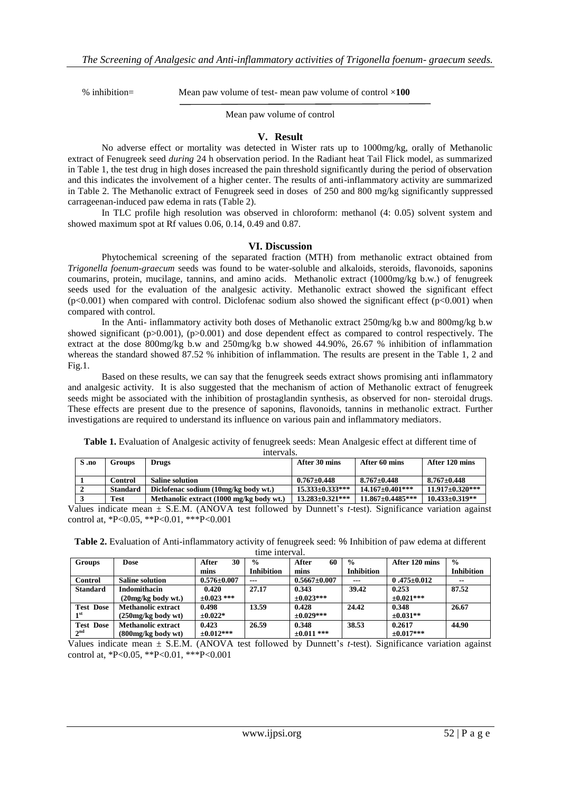% inhibition= Mean paw volume of test- mean paw volume of control ×**100**

Mean paw volume of control

#### **V. Result**

No adverse effect or mortality was detected in Wister rats up to 1000mg/kg, orally of Methanolic extract of Fenugreek seed *during* 24 h observation period. In the Radiant heat Tail Flick model, as summarized in Table 1, the test drug in high doses increased the pain threshold significantly during the period of observation and this indicates the involvement of a higher center. The results of anti-inflammatory activity are summarized in Table 2. The Methanolic extract of Fenugreek seed in doses of 250 and 800 mg/kg significantly suppressed carrageenan-induced paw edema in rats (Table 2).

In TLC profile high resolution was observed in chloroform: methanol (4: 0.05) solvent system and showed maximum spot at Rf values 0.06, 0.14, 0.49 and 0.87.

#### **VI. Discussion**

Phytochemical screening of the separated fraction (MTH) from methanolic extract obtained from *Trigonella foenum-graecum* seeds was found to be water-soluble and alkaloids, steroids, flavonoids, saponins coumarins, protein, mucilage, tannins, and amino acids. Methanolic extract (1000mg/kg b.w.) of fenugreek seeds used for the evaluation of the analgesic activity. Methanolic extract showed the significant effect  $(p<0.001)$  when compared with control. Diclofenac sodium also showed the significant effect  $(p<0.001)$  when compared with control.

In the Anti- inflammatory activity both doses of Methanolic extract 250mg/kg b.w and 800mg/kg b.w showed significant ( $p>0.001$ ), ( $p>0.001$ ) and dose dependent effect as compared to control respectively. The extract at the dose 800mg/kg b.w and 250mg/kg b.w showed 44.90%, 26.67 % inhibition of inflammation whereas the standard showed 87.52 % inhibition of inflammation. The results are present in the Table 1, 2 and Fig.1.

Based on these results, we can say that the fenugreek seeds extract shows promising anti inflammatory and analgesic activity. It is also suggested that the mechanism of action of Methanolic extract of fenugreek seeds might be associated with the inhibition of prostaglandin synthesis, as observed for non- steroidal drugs. These effects are present due to the presence of saponins, flavonoids, tannins in methanolic extract. Further investigations are required to understand its influence on various pain and inflammatory mediators.

| S .no | Groups          | Drugs                                    | After 30 mins          | After 60 mins           | After 120 mins       |
|-------|-----------------|------------------------------------------|------------------------|-------------------------|----------------------|
|       | Control         | <b>Saline solution</b>                   | $0.767 \pm 0.448$      | $8.767 \pm 0.448$       | $8.767 \pm 0.448$    |
|       | <b>Standard</b> | Diclofenac sodium (10mg/kg body wt.)     | $15.333 \pm 0.333$ *** | $14.167 \pm 0.401$ ***  | $11.917\pm0.320***$  |
|       | Test            | Methanolic extract (1000 mg/kg body wt.) | $13.283 \pm 0.321$ *** | $11.867 \pm 0.4485$ *** | $10.433 \pm 0.319**$ |

**Table 1.** Evaluation of Analgesic activity of fenugreek seeds: Mean Analgesic effect at different time of intervals.

Values indicate mean ± S.E.M. (ANOVA test followed by Dunnett's *t*-test). Significance variation against control at, \*P<0.05, \*\*P<0.01, \*\*\*P<0.001

**Table 2.** Evaluation of Anti-inflammatory activity of fenugreek seed: % Inhibition of paw edema at different time interval.

| <b>Groups</b>    | <b>Dose</b>            | 30<br>After       | $\frac{0}{0}$     | 60<br>After        | $\frac{0}{0}$     | After 120 mins    | $\frac{6}{6}$     |  |  |  |  |
|------------------|------------------------|-------------------|-------------------|--------------------|-------------------|-------------------|-------------------|--|--|--|--|
|                  |                        | mins              | <b>Inhibition</b> | mins               | <b>Inhibition</b> |                   | <b>Inhibition</b> |  |  |  |  |
| Control          | <b>Saline solution</b> | $0.576 \pm 0.007$ | $---$             | $0.5667 \pm 0.007$ | $- - -$           | $0.475 \pm 0.012$ | $\sim$            |  |  |  |  |
| <b>Standard</b>  | <b>Indomithacin</b>    | 0.420             | 27.17             | 0.343              | 39.42             | 0.253             | 87.52             |  |  |  |  |
|                  | (20mg/kg body wt.)     | $\pm 0.023$ ***   |                   | $\pm 0.023$ ***    |                   | $\pm 0.021$ ***   |                   |  |  |  |  |
| <b>Test Dose</b> | Methanolic extract     | 0.498             | 13.59             | 0.428              | 24.42             | 0.348             | 26.67             |  |  |  |  |
| 1 <sup>st</sup>  | $(250mg/kg$ body wt)   | $\pm 0.022*$      |                   | $\pm 0.029$ ***    |                   | $\pm 0.031**$     |                   |  |  |  |  |
| <b>Test Dose</b> | Methanolic extract     | 0.423             | 26.59             | 0.348              | 38.53             | 0.2617            | 44.90             |  |  |  |  |
| 2 <sup>nd</sup>  | $(800mg/kg$ body wt)   | $\pm 0.012$ ***   |                   | $\pm 0.011$ ***    |                   | $\pm 0.017$ ***   |                   |  |  |  |  |

Values indicate mean ± S.E.M. (ANOVA test followed by Dunnett's *t*-test). Significance variation against control at, \*P<0.05, \*\*P<0.01, \*\*\*P<0.001